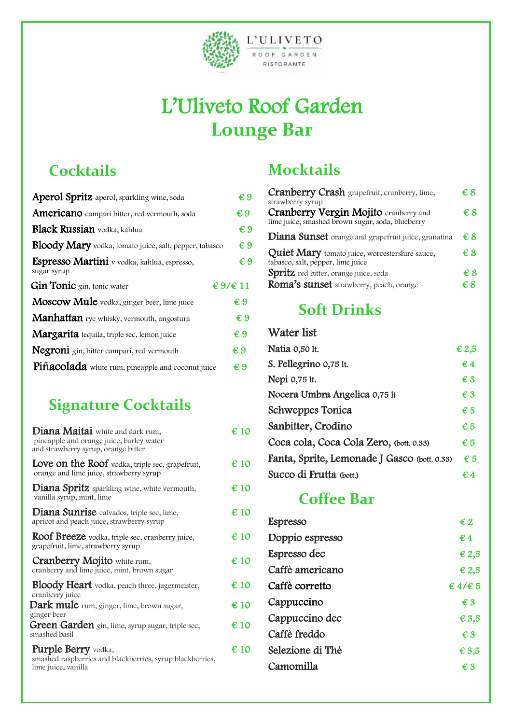

L'ULIVETO ROOF GARDEN RISTORANTE

# L'Uliveto Roof Garden **Lounge Bar**

## **Cocktails**

 $\overline{\phantom{a}}$ 

 

| Aperol Spritz aperol, sparkling wine, soda                 | €9                |
|------------------------------------------------------------|-------------------|
| <b>Americano</b> campari bitter, red vermouth, soda        | €9                |
| <b>Black Russian</b> vodka, kahlua                         | $\epsilon$ 9      |
| Bloody Mary vodka, tomato juice, salt, pepper, tabasco     | €9                |
| Espresso Martini v vodka, kahlua, espresso,<br>sugar syrup | €9                |
| Gin Tonic gin, tonic water                                 | $\in$ 9/ $\in$ 11 |
| Moscow Mule vodka, ginger beer, lime juice                 | €9                |
| Manhattan rye whisky, vermouth, angostura                  | $\epsilon$ 9      |
| Margarita tequila, triple sec, lemon juice                 | $\epsilon$ 9      |
| Negroni gin, bitter campari, red vermouth                  | €9                |
| Piñacolada white rum, pineapple and coconut juice          | €9                |

## **Signature Cocktails**

| Diana Maitai white and dark rum,<br>pineapple and orange juice, barley water<br>and strawberry syrup, orange bitter | $\epsilon$ 10 |
|---------------------------------------------------------------------------------------------------------------------|---------------|
| Love on the Roof vodka, triple sec, grapefruit,<br>orange and lime juice, strawberry syrup                          | $\epsilon$ 10 |
| Diana Spritz sparkling wine, white vermouth,<br>vanilla syrup, mint, lime                                           | $\epsilon$ 10 |
| Diana Sunrise calvados, triple sec, lime,<br>apricot and peach juice, strawberry syrup                              | € 10          |
| Roof Breeze vodka, triple sec, cranberry juice,<br>grapefruit, lime, strawberry syrup                               | $\epsilon$ 10 |
| Cranberry Mojito white rum,<br>cranberry and lime juice, mint, brown sugar                                          | $\epsilon$ 10 |
| Bloody Heart vodka, peach three, jagermeister,<br>cranberry juice                                                   | $\epsilon$ 10 |
| Dark mule rum, ginger, lime, brown sugar,<br>ginger beer                                                            | $\epsilon$ 10 |
| Green Garden gin, lime, syrup sugar, triple sec,<br>smashed basil                                                   | $\epsilon$ 10 |
| <b>Purple Berry</b> vodka,<br>smashed raspberries and blackberries, syrup blackberries,<br>lime juice, vanilla      | $\epsilon$ 10 |

## **Mocktails**

| <b>Cranberry Crash</b> grapefruit, cranberry, lime,<br>strawberry syrup                   | € 8 |
|-------------------------------------------------------------------------------------------|-----|
| Cranberry Vergin Mojito cranberry and<br>lime juice, smashed brown sugar, soda, blueberry | € 8 |
| Diana Sunset orange and grapefruit juice, granatina                                       | €8  |
| Quiet Mary tomato juice, worcestershire sauce,<br>tabasco, salt, pepper, lime juice       | €8  |
| Spritz red bitter, orange juice, soda                                                     | € 8 |
| Roma's sunset strawberry, peach, orange                                                   | € 8 |

### **Soft Drinks**

| Water list                                   |                         |
|----------------------------------------------|-------------------------|
| Natia 0,50 lt.                               | € 2,5                   |
| S. Pellegrino 0,75 lt.                       | $\epsilon$ 4            |
| Nepi 0,75 lt.                                | $\epsilon$ 3            |
| Nocera Umbra Angelica 0,75 lt                | €3                      |
| Schweppes Tonica                             | €5                      |
| Sanbitter, Crodino                           | $\epsilon$ <sub>5</sub> |
| Coca cola, Coca Cola Zero, (bott. 0.33)      | €5                      |
| Fanta, Sprite, Lemonade J Gasco (bott. 0.33) | €5                      |
| Succo di Frutta (bott.)                      | €4                      |

### **Coffee Bar**

L,

| Espresso         | €2                         |
|------------------|----------------------------|
| Doppio espresso  | $\epsilon$ 4               |
| Espresso dec     | $\epsilon$ 2,5             |
| Caffè americano  | € 2,5                      |
| Caffè corretto   | $\epsilon$ 4/ $\epsilon$ 5 |
| Cappuccino       | $\epsilon$ 3               |
| Cappuccino dec   | $\epsilon$ 3,5             |
| Caffè freddo     | $\epsilon$ 3               |
| Selezione di Thè | $\epsilon$ 3,5             |
| Camomilla        | €3                         |
|                  |                            |